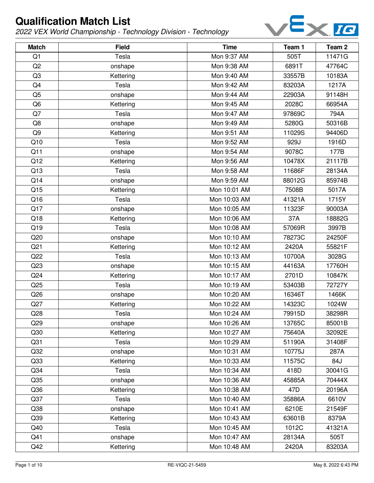

| <b>Match</b>    | <b>Field</b> | <b>Time</b>  | Team 1 | Team <sub>2</sub> |
|-----------------|--------------|--------------|--------|-------------------|
| Q <sub>1</sub>  | Tesla        | Mon 9:37 AM  | 505T   | 11471G            |
| Q2              | onshape      | Mon 9:38 AM  | 6891T  | 47764C            |
| Q <sub>3</sub>  | Kettering    | Mon 9:40 AM  | 33557B | 10183A            |
| Q4              | Tesla        | Mon 9:42 AM  | 83203A | 1217A             |
| Q <sub>5</sub>  | onshape      | Mon 9:44 AM  | 22903A | 91148H            |
| Q <sub>6</sub>  | Kettering    | Mon 9:45 AM  | 2028C  | 66954A            |
| Q7              | Tesla        | Mon 9:47 AM  | 97869C | 794A              |
| Q8              | onshape      | Mon 9:49 AM  | 5280G  | 50316B            |
| Q <sub>9</sub>  | Kettering    | Mon 9:51 AM  | 11029S | 94406D            |
| Q10             | Tesla        | Mon 9:52 AM  | 929J   | 1916D             |
| Q11             | onshape      | Mon 9:54 AM  | 9078C  | 177B              |
| Q12             | Kettering    | Mon 9:56 AM  | 10478X | 21117B            |
| Q13             | Tesla        | Mon 9:58 AM  | 11686F | 28134A            |
| Q14             | onshape      | Mon 9:59 AM  | 88012G | 85974B            |
| Q15             | Kettering    | Mon 10:01 AM | 7508B  | 5017A             |
| Q16             | Tesla        | Mon 10:03 AM | 41321A | 1715Y             |
| Q17             | onshape      | Mon 10:05 AM | 11323F | 90003A            |
| Q18             | Kettering    | Mon 10:06 AM | 37A    | 18882G            |
| Q19             | Tesla        | Mon 10:08 AM | 57069R | 3997B             |
| Q20             | onshape      | Mon 10:10 AM | 78273C | 24250F            |
| Q <sub>21</sub> | Kettering    | Mon 10:12 AM | 2420A  | 55821F            |
| Q22             | Tesla        | Mon 10:13 AM | 10700A | 3028G             |
| Q23             | onshape      | Mon 10:15 AM | 44163A | 17760H            |
| Q24             | Kettering    | Mon 10:17 AM | 2701D  | 10847K            |
| Q25             | Tesla        | Mon 10:19 AM | 53403B | 72727Y            |
| Q26             | onshape      | Mon 10:20 AM | 16346T | 1466K             |
| Q27             | Kettering    | Mon 10:22 AM | 14323C | 1024W             |
| Q28             | Tesla        | Mon 10:24 AM | 79915D | 38298R            |
| Q <sub>29</sub> | onshape      | Mon 10:26 AM | 13765C | 85001B            |
| Q30             | Kettering    | Mon 10:27 AM | 75640A | 32092E            |
| Q <sub>31</sub> | Tesla        | Mon 10:29 AM | 51190A | 31408F            |
| Q <sub>32</sub> | onshape      | Mon 10:31 AM | 10775J | 287A              |
| Q33             | Kettering    | Mon 10:33 AM | 11575C | 84J               |
| Q <sub>34</sub> | Tesla        | Mon 10:34 AM | 418D   | 30041G            |
| Q <sub>35</sub> | onshape      | Mon 10:36 AM | 45885A | 70444X            |
| Q36             | Kettering    | Mon 10:38 AM | 47D    | 20196A            |
| Q <sub>37</sub> | Tesla        | Mon 10:40 AM | 35886A | 6610V             |
| Q38             | onshape      | Mon 10:41 AM | 6210E  | 21549F            |
| Q <sub>39</sub> | Kettering    | Mon 10:43 AM | 63601B | 8379A             |
| Q40             | Tesla        | Mon 10:45 AM | 1012C  | 41321A            |
| Q41             | onshape      | Mon 10:47 AM | 28134A | 505T              |
| Q42             | Kettering    | Mon 10:48 AM | 2420A  | 83203A            |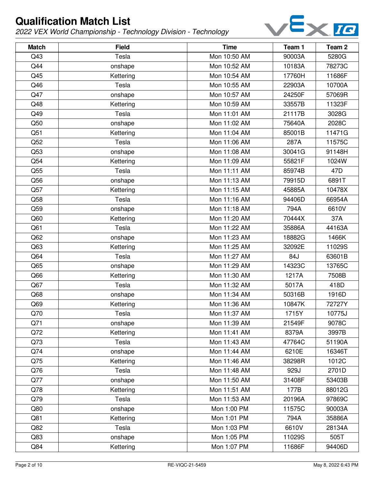

| <b>Match</b>    | <b>Field</b> | <b>Time</b>  | Team 1 | Team <sub>2</sub> |
|-----------------|--------------|--------------|--------|-------------------|
| Q43             | Tesla        | Mon 10:50 AM | 90003A | 5280G             |
| Q44             | onshape      | Mon 10:52 AM | 10183A | 78273C            |
| Q45             | Kettering    | Mon 10:54 AM | 17760H | 11686F            |
| Q46             | Tesla        | Mon 10:55 AM | 22903A | 10700A            |
| Q47             | onshape      | Mon 10:57 AM | 24250F | 57069R            |
| Q48             | Kettering    | Mon 10:59 AM | 33557B | 11323F            |
| Q49             | Tesla        | Mon 11:01 AM | 21117B | 3028G             |
| Q50             | onshape      | Mon 11:02 AM | 75640A | 2028C             |
| Q51             | Kettering    | Mon 11:04 AM | 85001B | 11471G            |
| Q52             | Tesla        | Mon 11:06 AM | 287A   | 11575C            |
| Q53             | onshape      | Mon 11:08 AM | 30041G | 91148H            |
| Q54             | Kettering    | Mon 11:09 AM | 55821F | 1024W             |
| Q55             | Tesla        | Mon 11:11 AM | 85974B | 47 <sub>D</sub>   |
| Q56             | onshape      | Mon 11:13 AM | 79915D | 6891T             |
| Q57             | Kettering    | Mon 11:15 AM | 45885A | 10478X            |
| Q58             | Tesla        | Mon 11:16 AM | 94406D | 66954A            |
| Q59             | onshape      | Mon 11:18 AM | 794A   | 6610V             |
| Q60             | Kettering    | Mon 11:20 AM | 70444X | 37A               |
| Q <sub>61</sub> | Tesla        | Mon 11:22 AM | 35886A | 44163A            |
| Q62             | onshape      | Mon 11:23 AM | 18882G | 1466K             |
| Q63             | Kettering    | Mon 11:25 AM | 32092E | 11029S            |
| Q64             | Tesla        | Mon 11:27 AM | 84J    | 63601B            |
| Q65             | onshape      | Mon 11:29 AM | 14323C | 13765C            |
| Q66             | Kettering    | Mon 11:30 AM | 1217A  | 7508B             |
| Q67             | Tesla        | Mon 11:32 AM | 5017A  | 418D              |
| Q68             | onshape      | Mon 11:34 AM | 50316B | 1916D             |
| Q69             | Kettering    | Mon 11:36 AM | 10847K | 72727Y            |
| Q70             | Tesla        | Mon 11:37 AM | 1715Y  | 10775J            |
| Q71             | onshape      | Mon 11:39 AM | 21549F | 9078C             |
| Q72             | Kettering    | Mon 11:41 AM | 8379A  | 3997B             |
| Q73             | Tesla        | Mon 11:43 AM | 47764C | 51190A            |
| Q74             | onshape      | Mon 11:44 AM | 6210E  | 16346T            |
| Q75             | Kettering    | Mon 11:46 AM | 38298R | 1012C             |
| Q76             | Tesla        | Mon 11:48 AM | 929J   | 2701D             |
| Q77             | onshape      | Mon 11:50 AM | 31408F | 53403B            |
| Q78             | Kettering    | Mon 11:51 AM | 177B   | 88012G            |
| Q79             | Tesla        | Mon 11:53 AM | 20196A | 97869C            |
| Q80             | onshape      | Mon 1:00 PM  | 11575C | 90003A            |
| Q81             | Kettering    | Mon 1:01 PM  | 794A   | 35886A            |
| Q82             | Tesla        | Mon 1:03 PM  | 6610V  | 28134A            |
| Q83             | onshape      | Mon 1:05 PM  | 11029S | 505T              |
| Q84             | Kettering    | Mon 1:07 PM  | 11686F | 94406D            |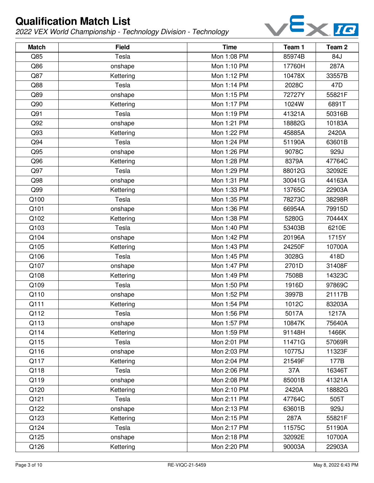

| <b>Match</b> | <b>Field</b> | <b>Time</b> | Team 1 | Team <sub>2</sub> |
|--------------|--------------|-------------|--------|-------------------|
| Q85          | Tesla        | Mon 1:08 PM | 85974B | 84J               |
| Q86          | onshape      | Mon 1:10 PM | 17760H | 287A              |
| Q87          | Kettering    | Mon 1:12 PM | 10478X | 33557B            |
| Q88          | Tesla        | Mon 1:14 PM | 2028C  | 47D               |
| Q89          | onshape      | Mon 1:15 PM | 72727Y | 55821F            |
| Q90          | Kettering    | Mon 1:17 PM | 1024W  | 6891T             |
| Q91          | Tesla        | Mon 1:19 PM | 41321A | 50316B            |
| Q92          | onshape      | Mon 1:21 PM | 18882G | 10183A            |
| Q93          | Kettering    | Mon 1:22 PM | 45885A | 2420A             |
| Q94          | Tesla        | Mon 1:24 PM | 51190A | 63601B            |
| Q95          | onshape      | Mon 1:26 PM | 9078C  | 929J              |
| Q96          | Kettering    | Mon 1:28 PM | 8379A  | 47764C            |
| Q97          | Tesla        | Mon 1:29 PM | 88012G | 32092E            |
| Q98          | onshape      | Mon 1:31 PM | 30041G | 44163A            |
| Q99          | Kettering    | Mon 1:33 PM | 13765C | 22903A            |
| Q100         | Tesla        | Mon 1:35 PM | 78273C | 38298R            |
| Q101         | onshape      | Mon 1:36 PM | 66954A | 79915D            |
| Q102         | Kettering    | Mon 1:38 PM | 5280G  | 70444X            |
| Q103         | Tesla        | Mon 1:40 PM | 53403B | 6210E             |
| Q104         | onshape      | Mon 1:42 PM | 20196A | 1715Y             |
| Q105         | Kettering    | Mon 1:43 PM | 24250F | 10700A            |
| Q106         | Tesla        | Mon 1:45 PM | 3028G  | 418D              |
| Q107         | onshape      | Mon 1:47 PM | 2701D  | 31408F            |
| Q108         | Kettering    | Mon 1:49 PM | 7508B  | 14323C            |
| Q109         | Tesla        | Mon 1:50 PM | 1916D  | 97869C            |
| Q110         | onshape      | Mon 1:52 PM | 3997B  | 21117B            |
| Q111         | Kettering    | Mon 1:54 PM | 1012C  | 83203A            |
| Q112         | Tesla        | Mon 1:56 PM | 5017A  | 1217A             |
| Q113         | onshape      | Mon 1:57 PM | 10847K | 75640A            |
| Q114         | Kettering    | Mon 1:59 PM | 91148H | 1466K             |
| Q115         | Tesla        | Mon 2:01 PM | 11471G | 57069R            |
| Q116         | onshape      | Mon 2:03 PM | 10775J | 11323F            |
| Q117         | Kettering    | Mon 2:04 PM | 21549F | 177B              |
| Q118         | Tesla        | Mon 2:06 PM | 37A    | 16346T            |
| Q119         | onshape      | Mon 2:08 PM | 85001B | 41321A            |
| Q120         | Kettering    | Mon 2:10 PM | 2420A  | 18882G            |
| Q121         | Tesla        | Mon 2:11 PM | 47764C | 505T              |
| Q122         | onshape      | Mon 2:13 PM | 63601B | 929J              |
| Q123         | Kettering    | Mon 2:15 PM | 287A   | 55821F            |
| Q124         | Tesla        | Mon 2:17 PM | 11575C | 51190A            |
| Q125         | onshape      | Mon 2:18 PM | 32092E | 10700A            |
| Q126         | Kettering    | Mon 2:20 PM | 90003A | 22903A            |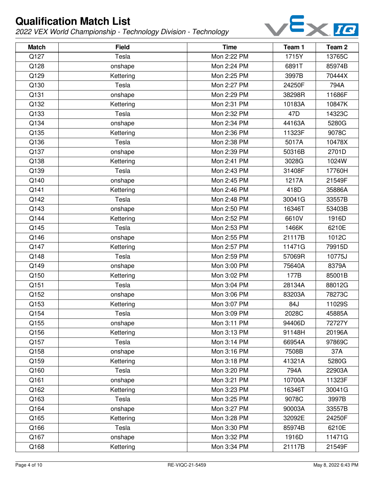

| <b>Match</b> | <b>Field</b> | <b>Time</b> | Team 1          | Team <sub>2</sub> |
|--------------|--------------|-------------|-----------------|-------------------|
| Q127         | Tesla        | Mon 2:22 PM | 1715Y           | 13765C            |
| Q128         | onshape      | Mon 2:24 PM | 6891T           | 85974B            |
| Q129         | Kettering    | Mon 2:25 PM | 3997B           | 70444X            |
| Q130         | Tesla        | Mon 2:27 PM | 24250F          | 794A              |
| Q131         | onshape      | Mon 2:29 PM | 38298R          | 11686F            |
| Q132         | Kettering    | Mon 2:31 PM | 10183A          | 10847K            |
| Q133         | Tesla        | Mon 2:32 PM | 47 <sub>D</sub> | 14323C            |
| Q134         | onshape      | Mon 2:34 PM | 44163A          | 5280G             |
| Q135         | Kettering    | Mon 2:36 PM | 11323F          | 9078C             |
| Q136         | Tesla        | Mon 2:38 PM | 5017A           | 10478X            |
| Q137         | onshape      | Mon 2:39 PM | 50316B          | 2701D             |
| Q138         | Kettering    | Mon 2:41 PM | 3028G           | 1024W             |
| Q139         | Tesla        | Mon 2:43 PM | 31408F          | 17760H            |
| Q140         | onshape      | Mon 2:45 PM | 1217A           | 21549F            |
| Q141         | Kettering    | Mon 2:46 PM | 418D            | 35886A            |
| Q142         | Tesla        | Mon 2:48 PM | 30041G          | 33557B            |
| Q143         | onshape      | Mon 2:50 PM | 16346T          | 53403B            |
| Q144         | Kettering    | Mon 2:52 PM | 6610V           | 1916D             |
| Q145         | Tesla        | Mon 2:53 PM | 1466K           | 6210E             |
| Q146         | onshape      | Mon 2:55 PM | 21117B          | 1012C             |
| Q147         | Kettering    | Mon 2:57 PM | 11471G          | 79915D            |
| Q148         | Tesla        | Mon 2:59 PM | 57069R          | 10775J            |
| Q149         | onshape      | Mon 3:00 PM | 75640A          | 8379A             |
| Q150         | Kettering    | Mon 3:02 PM | 177B            | 85001B            |
| Q151         | Tesla        | Mon 3:04 PM | 28134A          | 88012G            |
| Q152         | onshape      | Mon 3:06 PM | 83203A          | 78273C            |
| Q153         | Kettering    | Mon 3:07 PM | 84J             | 11029S            |
| Q154         | Tesla        | Mon 3:09 PM | 2028C           | 45885A            |
| Q155         | onshape      | Mon 3:11 PM | 94406D          | 72727Y            |
| Q156         | Kettering    | Mon 3:13 PM | 91148H          | 20196A            |
| Q157         | Tesla        | Mon 3:14 PM | 66954A          | 97869C            |
| Q158         | onshape      | Mon 3:16 PM | 7508B           | 37A               |
| Q159         | Kettering    | Mon 3:18 PM | 41321A          | 5280G             |
| Q160         | Tesla        | Mon 3:20 PM | 794A            | 22903A            |
| Q161         | onshape      | Mon 3:21 PM | 10700A          | 11323F            |
| Q162         | Kettering    | Mon 3:23 PM | 16346T          | 30041G            |
| Q163         | Tesla        | Mon 3:25 PM | 9078C           | 3997B             |
| Q164         | onshape      | Mon 3:27 PM | 90003A          | 33557B            |
| Q165         | Kettering    | Mon 3:28 PM | 32092E          | 24250F            |
| Q166         | Tesla        | Mon 3:30 PM | 85974B          | 6210E             |
| Q167         | onshape      | Mon 3:32 PM | 1916D           | 11471G            |
| Q168         | Kettering    | Mon 3:34 PM | 21117B          | 21549F            |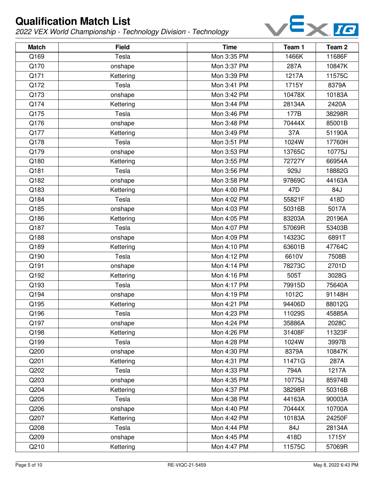

| <b>Match</b> | <b>Field</b> | <b>Time</b> | Team 1 | Team <sub>2</sub> |
|--------------|--------------|-------------|--------|-------------------|
| Q169         | Tesla        | Mon 3:35 PM | 1466K  | 11686F            |
| Q170         | onshape      | Mon 3:37 PM | 287A   | 10847K            |
| Q171         | Kettering    | Mon 3:39 PM | 1217A  | 11575C            |
| Q172         | Tesla        | Mon 3:41 PM | 1715Y  | 8379A             |
| Q173         | onshape      | Mon 3:42 PM | 10478X | 10183A            |
| Q174         | Kettering    | Mon 3:44 PM | 28134A | 2420A             |
| Q175         | Tesla        | Mon 3:46 PM | 177B   | 38298R            |
| Q176         | onshape      | Mon 3:48 PM | 70444X | 85001B            |
| Q177         | Kettering    | Mon 3:49 PM | 37A    | 51190A            |
| Q178         | Tesla        | Mon 3:51 PM | 1024W  | 17760H            |
| Q179         | onshape      | Mon 3:53 PM | 13765C | 10775J            |
| Q180         | Kettering    | Mon 3:55 PM | 72727Y | 66954A            |
| Q181         | Tesla        | Mon 3:56 PM | 929J   | 18882G            |
| Q182         | onshape      | Mon 3:58 PM | 97869C | 44163A            |
| Q183         | Kettering    | Mon 4:00 PM | 47D    | 84J               |
| Q184         | Tesla        | Mon 4:02 PM | 55821F | 418D              |
| Q185         | onshape      | Mon 4:03 PM | 50316B | 5017A             |
| Q186         | Kettering    | Mon 4:05 PM | 83203A | 20196A            |
| Q187         | Tesla        | Mon 4:07 PM | 57069R | 53403B            |
| Q188         | onshape      | Mon 4:09 PM | 14323C | 6891T             |
| Q189         | Kettering    | Mon 4:10 PM | 63601B | 47764C            |
| Q190         | Tesla        | Mon 4:12 PM | 6610V  | 7508B             |
| Q191         | onshape      | Mon 4:14 PM | 78273C | 2701D             |
| Q192         | Kettering    | Mon 4:16 PM | 505T   | 3028G             |
| Q193         | Tesla        | Mon 4:17 PM | 79915D | 75640A            |
| Q194         | onshape      | Mon 4:19 PM | 1012C  | 91148H            |
| Q195         | Kettering    | Mon 4:21 PM | 94406D | 88012G            |
| Q196         | Tesla        | Mon 4:23 PM | 11029S | 45885A            |
| Q197         | onshape      | Mon 4:24 PM | 35886A | 2028C             |
| Q198         | Kettering    | Mon 4:26 PM | 31408F | 11323F            |
| Q199         | Tesla        | Mon 4:28 PM | 1024W  | 3997B             |
| Q200         | onshape      | Mon 4:30 PM | 8379A  | 10847K            |
| Q201         | Kettering    | Mon 4:31 PM | 11471G | 287A              |
| Q202         | Tesla        | Mon 4:33 PM | 794A   | 1217A             |
| Q203         | onshape      | Mon 4:35 PM | 10775J | 85974B            |
| Q204         | Kettering    | Mon 4:37 PM | 38298R | 50316B            |
| Q205         | Tesla        | Mon 4:38 PM | 44163A | 90003A            |
| Q206         | onshape      | Mon 4:40 PM | 70444X | 10700A            |
| Q207         | Kettering    | Mon 4:42 PM | 10183A | 24250F            |
| Q208         | Tesla        | Mon 4:44 PM | 84J    | 28134A            |
| Q209         | onshape      | Mon 4:45 PM | 418D   | 1715Y             |
| Q210         | Kettering    | Mon 4:47 PM | 11575C | 57069R            |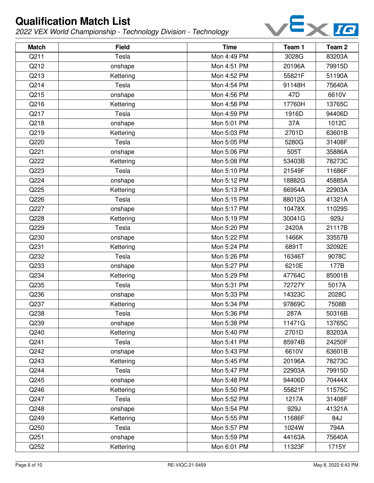

| <b>Match</b> | <b>Field</b> | <b>Time</b> | Team 1 | Team <sub>2</sub> |
|--------------|--------------|-------------|--------|-------------------|
| Q211         | Tesla        | Mon 4:49 PM | 3028G  | 83203A            |
| Q212         | onshape      | Mon 4:51 PM | 20196A | 79915D            |
| Q213         | Kettering    | Mon 4:52 PM | 55821F | 51190A            |
| Q214         | Tesla        | Mon 4:54 PM | 91148H | 75640A            |
| Q215         | onshape      | Mon 4:56 PM | 47D    | 6610V             |
| Q216         | Kettering    | Mon 4:58 PM | 17760H | 13765C            |
| Q217         | Tesla        | Mon 4:59 PM | 1916D  | 94406D            |
| Q218         | onshape      | Mon 5:01 PM | 37A    | 1012C             |
| Q219         | Kettering    | Mon 5:03 PM | 2701D  | 63601B            |
| Q220         | Tesla        | Mon 5:05 PM | 5280G  | 31408F            |
| Q221         | onshape      | Mon 5:06 PM | 505T   | 35886A            |
| Q222         | Kettering    | Mon 5:08 PM | 53403B | 78273C            |
| Q223         | Tesla        | Mon 5:10 PM | 21549F | 11686F            |
| Q224         | onshape      | Mon 5:12 PM | 18882G | 45885A            |
| Q225         | Kettering    | Mon 5:13 PM | 66954A | 22903A            |
| Q226         | Tesla        | Mon 5:15 PM | 88012G | 41321A            |
| Q227         | onshape      | Mon 5:17 PM | 10478X | 11029S            |
| Q228         | Kettering    | Mon 5:19 PM | 30041G | 929J              |
| Q229         | Tesla        | Mon 5:20 PM | 2420A  | 21117B            |
| Q230         | onshape      | Mon 5:22 PM | 1466K  | 33557B            |
| Q231         | Kettering    | Mon 5:24 PM | 6891T  | 32092E            |
| Q232         | Tesla        | Mon 5:26 PM | 16346T | 9078C             |
| Q233         | onshape      | Mon 5:27 PM | 6210E  | 177B              |
| Q234         | Kettering    | Mon 5:29 PM | 47764C | 85001B            |
| Q235         | Tesla        | Mon 5:31 PM | 72727Y | 5017A             |
| Q236         | onshape      | Mon 5:33 PM | 14323C | 2028C             |
| Q237         | Kettering    | Mon 5:34 PM | 97869C | 7508B             |
| Q238         | Tesla        | Mon 5:36 PM | 287A   | 50316B            |
| Q239         | onshape      | Mon 5:38 PM | 11471G | 13765C            |
| Q240         | Kettering    | Mon 5:40 PM | 2701D  | 83203A            |
| Q241         | Tesla        | Mon 5:41 PM | 85974B | 24250F            |
| Q242         | onshape      | Mon 5:43 PM | 6610V  | 63601B            |
| Q243         | Kettering    | Mon 5:45 PM | 20196A | 78273C            |
| Q244         | Tesla        | Mon 5:47 PM | 22903A | 79915D            |
| Q245         | onshape      | Mon 5:48 PM | 94406D | 70444X            |
| Q246         | Kettering    | Mon 5:50 PM | 55821F | 11575C            |
| Q247         | Tesla        | Mon 5:52 PM | 1217A  | 31408F            |
| Q248         | onshape      | Mon 5:54 PM | 929J   | 41321A            |
| Q249         | Kettering    | Mon 5:55 PM | 11686F | 84J               |
| Q250         | Tesla        | Mon 5:57 PM | 1024W  | 794A              |
| Q251         | onshape      | Mon 5:59 PM | 44163A | 75640A            |
| Q252         | Kettering    | Mon 6:01 PM | 11323F | 1715Y             |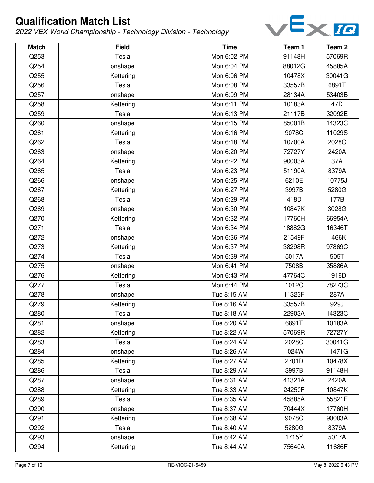

| <b>Match</b> | <b>Field</b> | <b>Time</b> | Team 1 | Team <sub>2</sub> |
|--------------|--------------|-------------|--------|-------------------|
| Q253         | Tesla        | Mon 6:02 PM | 91148H | 57069R            |
| Q254         | onshape      | Mon 6:04 PM | 88012G | 45885A            |
| Q255         | Kettering    | Mon 6:06 PM | 10478X | 30041G            |
| Q256         | Tesla        | Mon 6:08 PM | 33557B | 6891T             |
| Q257         | onshape      | Mon 6:09 PM | 28134A | 53403B            |
| Q258         | Kettering    | Mon 6:11 PM | 10183A | 47D               |
| Q259         | Tesla        | Mon 6:13 PM | 21117B | 32092E            |
| Q260         | onshape      | Mon 6:15 PM | 85001B | 14323C            |
| Q261         | Kettering    | Mon 6:16 PM | 9078C  | 11029S            |
| Q262         | Tesla        | Mon 6:18 PM | 10700A | 2028C             |
| Q263         | onshape      | Mon 6:20 PM | 72727Y | 2420A             |
| Q264         | Kettering    | Mon 6:22 PM | 90003A | 37A               |
| Q265         | Tesla        | Mon 6:23 PM | 51190A | 8379A             |
| Q266         | onshape      | Mon 6:25 PM | 6210E  | 10775J            |
| Q267         | Kettering    | Mon 6:27 PM | 3997B  | 5280G             |
| Q268         | Tesla        | Mon 6:29 PM | 418D   | 177B              |
| Q269         | onshape      | Mon 6:30 PM | 10847K | 3028G             |
| Q270         | Kettering    | Mon 6:32 PM | 17760H | 66954A            |
| Q271         | Tesla        | Mon 6:34 PM | 18882G | 16346T            |
| Q272         | onshape      | Mon 6:36 PM | 21549F | 1466K             |
| Q273         | Kettering    | Mon 6:37 PM | 38298R | 97869C            |
| Q274         | Tesla        | Mon 6:39 PM | 5017A  | 505T              |
| Q275         | onshape      | Mon 6:41 PM | 7508B  | 35886A            |
| Q276         | Kettering    | Mon 6:43 PM | 47764C | 1916D             |
| Q277         | Tesla        | Mon 6:44 PM | 1012C  | 78273C            |
| Q278         | onshape      | Tue 8:15 AM | 11323F | 287A              |
| Q279         | Kettering    | Tue 8:16 AM | 33557B | 929J              |
| Q280         | Tesla        | Tue 8:18 AM | 22903A | 14323C            |
| Q281         | onshape      | Tue 8:20 AM | 6891T  | 10183A            |
| Q282         | Kettering    | Tue 8:22 AM | 57069R | 72727Y            |
| Q283         | Tesla        | Tue 8:24 AM | 2028C  | 30041G            |
| Q284         | onshape      | Tue 8:26 AM | 1024W  | 11471G            |
| Q285         | Kettering    | Tue 8:27 AM | 2701D  | 10478X            |
| Q286         | Tesla        | Tue 8:29 AM | 3997B  | 91148H            |
| Q287         | onshape      | Tue 8:31 AM | 41321A | 2420A             |
| Q288         | Kettering    | Tue 8:33 AM | 24250F | 10847K            |
| Q289         | Tesla        | Tue 8:35 AM | 45885A | 55821F            |
| Q290         | onshape      | Tue 8:37 AM | 70444X | 17760H            |
| Q291         | Kettering    | Tue 8:38 AM | 9078C  | 90003A            |
| Q292         | Tesla        | Tue 8:40 AM | 5280G  | 8379A             |
| Q293         | onshape      | Tue 8:42 AM | 1715Y  | 5017A             |
| Q294         | Kettering    | Tue 8:44 AM | 75640A | 11686F            |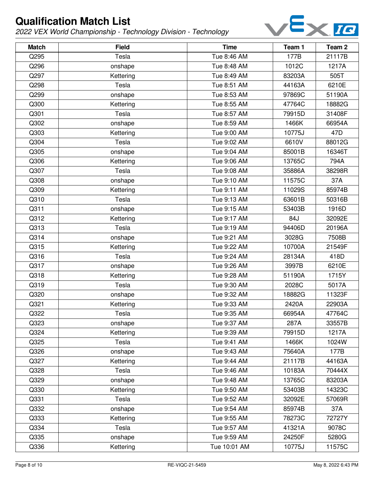

| <b>Match</b> | <b>Field</b> | <b>Time</b>  | Team 1 | Team <sub>2</sub> |
|--------------|--------------|--------------|--------|-------------------|
| Q295         | Tesla        | Tue 8:46 AM  | 177B   | 21117B            |
| Q296         | onshape      | Tue 8:48 AM  | 1012C  | 1217A             |
| Q297         | Kettering    | Tue 8:49 AM  | 83203A | 505T              |
| Q298         | Tesla        | Tue 8:51 AM  | 44163A | 6210E             |
| Q299         | onshape      | Tue 8:53 AM  | 97869C | 51190A            |
| Q300         | Kettering    | Tue 8:55 AM  | 47764C | 18882G            |
| Q301         | Tesla        | Tue 8:57 AM  | 79915D | 31408F            |
| Q302         | onshape      | Tue 8:59 AM  | 1466K  | 66954A            |
| Q303         | Kettering    | Tue 9:00 AM  | 10775J | 47 <sub>D</sub>   |
| Q304         | Tesla        | Tue 9:02 AM  | 6610V  | 88012G            |
| Q305         | onshape      | Tue 9:04 AM  | 85001B | 16346T            |
| Q306         | Kettering    | Tue 9:06 AM  | 13765C | 794A              |
| Q307         | Tesla        | Tue 9:08 AM  | 35886A | 38298R            |
| Q308         | onshape      | Tue 9:10 AM  | 11575C | 37A               |
| Q309         | Kettering    | Tue 9:11 AM  | 11029S | 85974B            |
| Q310         | Tesla        | Tue 9:13 AM  | 63601B | 50316B            |
| Q311         | onshape      | Tue 9:15 AM  | 53403B | 1916D             |
| Q312         | Kettering    | Tue 9:17 AM  | 84J    | 32092E            |
| Q313         | Tesla        | Tue 9:19 AM  | 94406D | 20196A            |
| Q314         | onshape      | Tue 9:21 AM  | 3028G  | 7508B             |
| Q315         | Kettering    | Tue 9:22 AM  | 10700A | 21549F            |
| Q316         | Tesla        | Tue 9:24 AM  | 28134A | 418D              |
| Q317         | onshape      | Tue 9:26 AM  | 3997B  | 6210E             |
| Q318         | Kettering    | Tue 9:28 AM  | 51190A | 1715Y             |
| Q319         | Tesla        | Tue 9:30 AM  | 2028C  | 5017A             |
| Q320         | onshape      | Tue 9:32 AM  | 18882G | 11323F            |
| Q321         | Kettering    | Tue 9:33 AM  | 2420A  | 22903A            |
| Q322         | Tesla        | Tue 9:35 AM  | 66954A | 47764C            |
| Q323         | onshape      | Tue 9:37 AM  | 287A   | 33557B            |
| Q324         | Kettering    | Tue 9:39 AM  | 79915D | 1217A             |
| Q325         | Tesla        | Tue 9:41 AM  | 1466K  | 1024W             |
| Q326         | onshape      | Tue 9:43 AM  | 75640A | 177B              |
| Q327         | Kettering    | Tue 9:44 AM  | 21117B | 44163A            |
| Q328         | Tesla        | Tue 9:46 AM  | 10183A | 70444X            |
| Q329         | onshape      | Tue 9:48 AM  | 13765C | 83203A            |
| Q330         | Kettering    | Tue 9:50 AM  | 53403B | 14323C            |
| Q331         | Tesla        | Tue 9:52 AM  | 32092E | 57069R            |
| Q332         | onshape      | Tue 9:54 AM  | 85974B | 37A               |
| Q333         | Kettering    | Tue 9:55 AM  | 78273C | 72727Y            |
| Q334         | Tesla        | Tue 9:57 AM  | 41321A | 9078C             |
| Q335         | onshape      | Tue 9:59 AM  | 24250F | 5280G             |
| Q336         | Kettering    | Tue 10:01 AM | 10775J | 11575C            |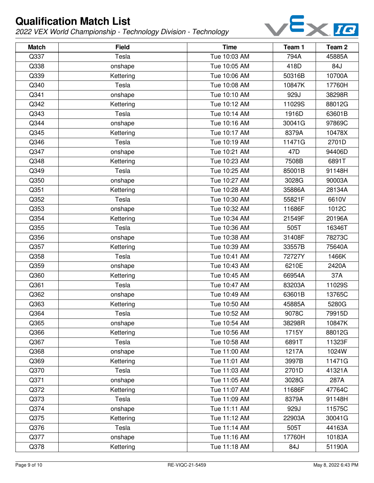

| <b>Match</b> | <b>Field</b> | <b>Time</b>  | Team 1 | Team <sub>2</sub> |
|--------------|--------------|--------------|--------|-------------------|
| Q337         | Tesla        | Tue 10:03 AM | 794A   | 45885A            |
| Q338         | onshape      | Tue 10:05 AM | 418D   | 84J               |
| Q339         | Kettering    | Tue 10:06 AM | 50316B | 10700A            |
| Q340         | Tesla        | Tue 10:08 AM | 10847K | 17760H            |
| Q341         | onshape      | Tue 10:10 AM | 929J   | 38298R            |
| Q342         | Kettering    | Tue 10:12 AM | 11029S | 88012G            |
| Q343         | Tesla        | Tue 10:14 AM | 1916D  | 63601B            |
| Q344         | onshape      | Tue 10:16 AM | 30041G | 97869C            |
| Q345         | Kettering    | Tue 10:17 AM | 8379A  | 10478X            |
| Q346         | Tesla        | Tue 10:19 AM | 11471G | 2701D             |
| Q347         | onshape      | Tue 10:21 AM | 47D    | 94406D            |
| Q348         | Kettering    | Tue 10:23 AM | 7508B  | 6891T             |
| Q349         | Tesla        | Tue 10:25 AM | 85001B | 91148H            |
| Q350         | onshape      | Tue 10:27 AM | 3028G  | 90003A            |
| Q351         | Kettering    | Tue 10:28 AM | 35886A | 28134A            |
| Q352         | Tesla        | Tue 10:30 AM | 55821F | 6610V             |
| Q353         | onshape      | Tue 10:32 AM | 11686F | 1012C             |
| Q354         | Kettering    | Tue 10:34 AM | 21549F | 20196A            |
| Q355         | Tesla        | Tue 10:36 AM | 505T   | 16346T            |
| Q356         | onshape      | Tue 10:38 AM | 31408F | 78273C            |
| Q357         | Kettering    | Tue 10:39 AM | 33557B | 75640A            |
| Q358         | Tesla        | Tue 10:41 AM | 72727Y | 1466K             |
| Q359         | onshape      | Tue 10:43 AM | 6210E  | 2420A             |
| Q360         | Kettering    | Tue 10:45 AM | 66954A | 37A               |
| Q361         | Tesla        | Tue 10:47 AM | 83203A | 11029S            |
| Q362         | onshape      | Tue 10:49 AM | 63601B | 13765C            |
| Q363         | Kettering    | Tue 10:50 AM | 45885A | 5280G             |
| Q364         | Tesla        | Tue 10:52 AM | 9078C  | 79915D            |
| Q365         | onshape      | Tue 10:54 AM | 38298R | 10847K            |
| Q366         | Kettering    | Tue 10:56 AM | 1715Y  | 88012G            |
| Q367         | Tesla        | Tue 10:58 AM | 6891T  | 11323F            |
| Q368         | onshape      | Tue 11:00 AM | 1217A  | 1024W             |
| Q369         | Kettering    | Tue 11:01 AM | 3997B  | 11471G            |
| Q370         | Tesla        | Tue 11:03 AM | 2701D  | 41321A            |
| Q371         | onshape      | Tue 11:05 AM | 3028G  | 287A              |
| Q372         | Kettering    | Tue 11:07 AM | 11686F | 47764C            |
| Q373         | Tesla        | Tue 11:09 AM | 8379A  | 91148H            |
| Q374         | onshape      | Tue 11:11 AM | 929J   | 11575C            |
| Q375         | Kettering    | Tue 11:12 AM | 22903A | 30041G            |
| Q376         | Tesla        | Tue 11:14 AM | 505T   | 44163A            |
| Q377         | onshape      | Tue 11:16 AM | 17760H | 10183A            |
| Q378         | Kettering    | Tue 11:18 AM | 84J    | 51190A            |